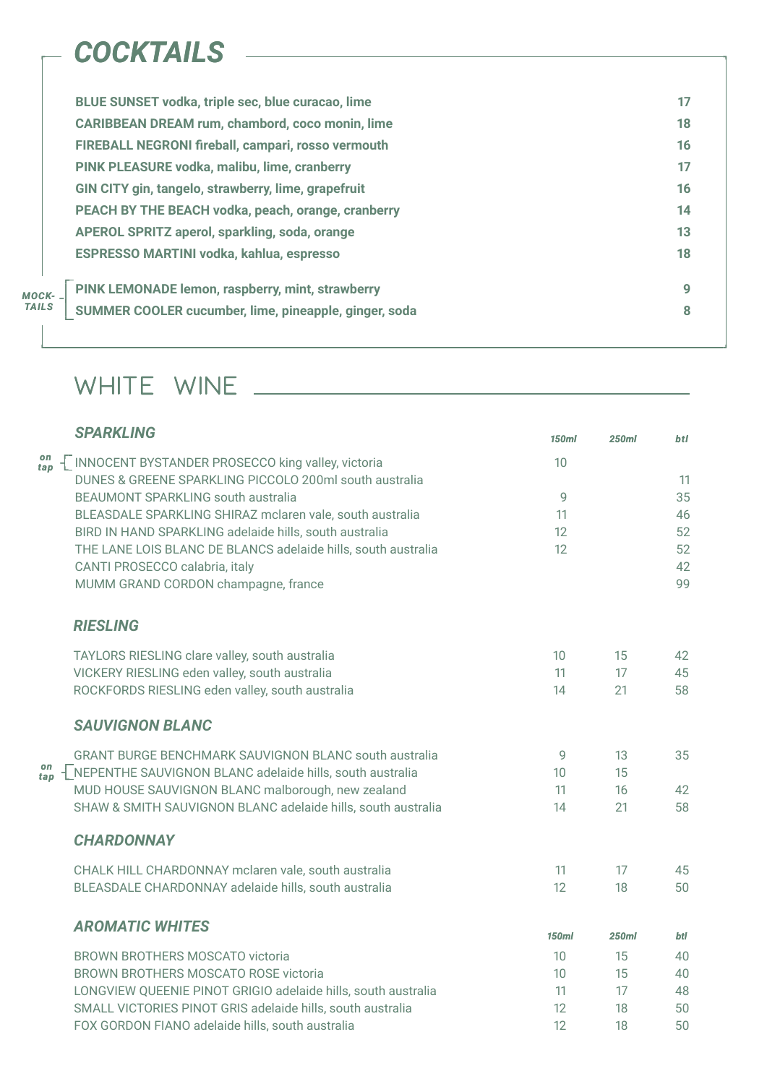### *RIESLING*

|     | <b>SPARKLING</b>                                              | <b>150ml</b> | <b>250ml</b> | <b>btl</b> |
|-----|---------------------------------------------------------------|--------------|--------------|------------|
| tap | <b>INNOCENT BYSTANDER PROSECCO king valley, victoria</b>      | 10           |              |            |
|     | DUNES & GREENE SPARKLING PICCOLO 200ml south australia        |              |              | 11         |
|     | <b>BEAUMONT SPARKLING south australia</b>                     | <b>Q</b>     |              | 35         |
|     | BLEASDALE SPARKLING SHIRAZ mclaren vale, south australia      | 11           |              | 46         |
|     | BIRD IN HAND SPARKLING adelaide hills, south australia        | 12           |              | 52         |
|     | THE LANE LOIS BLANC DE BLANCS adelaide hills, south australia | 12           |              | 52         |
|     | <b>CANTI PROSECCO calabria, italy</b>                         |              |              | 42         |

|                                                                                                                                      | <b>BLUE SUNSET vodka, triple sec, blue curacao, lime</b>  | 17 |
|--------------------------------------------------------------------------------------------------------------------------------------|-----------------------------------------------------------|----|
|                                                                                                                                      | <b>CARIBBEAN DREAM rum, chambord, coco monin, lime</b>    | 18 |
|                                                                                                                                      | FIREBALL NEGRONI fireball, campari, rosso vermouth        | 16 |
|                                                                                                                                      | PINK PLEASURE vodka, malibu, lime, cranberry              | 17 |
|                                                                                                                                      | GIN CITY gin, tangelo, strawberry, lime, grapefruit       | 16 |
|                                                                                                                                      | <b>PEACH BY THE BEACH vodka, peach, orange, cranberry</b> | 14 |
|                                                                                                                                      | <b>APEROL SPRITZ aperol, sparkling, soda, orange</b>      | 13 |
|                                                                                                                                      | <b>ESPRESSO MARTINI vodka, kahlua, espresso</b>           | 18 |
| PINK LEMONADE lemon, raspberry, mint, strawberry<br>MOCK- _<br><b>TAILS</b><br>SUMMER COOLER cucumber, lime, pineapple, ginger, soda |                                                           | 9  |
|                                                                                                                                      |                                                           | 8  |
|                                                                                                                                      |                                                           |    |

| TAYLORS RIESLING clare valley, south australia                    | 10              | 15           | 42  |
|-------------------------------------------------------------------|-----------------|--------------|-----|
| VICKERY RIESLING eden valley, south australia                     | 11              | 17           | 45  |
| ROCKFORDS RIESLING eden valley, south australia                   | 14              | 21           | 58  |
| <b>SAUVIGNON BLANC</b>                                            |                 |              |     |
| <b>GRANT BURGE BENCHMARK SAUVIGNON BLANC south australia</b>      | 9               | 13           | 35  |
| NEPENTHE SAUVIGNON BLANC adelaide hills, south australia          | 10              | 15           |     |
| MUD HOUSE SAUVIGNON BLANC malborough, new zealand                 | 11              | 16           | 42  |
| SHAW & SMITH SAUVIGNON BLANC adelaide hills, south australia      | 14              | 21           | 58  |
| <b>CHARDONNAY</b>                                                 |                 |              |     |
| CHALK HILL CHARDONNAY mclaren vale, south australia               | 11              | 17           | 45  |
| BLEASDALE CHARDONNAY adelaide hills, south australia              | 12 <sup>2</sup> | 18           | 50  |
| <b>AROMATIC WHITES</b>                                            |                 |              |     |
|                                                                   | <b>150ml</b>    | <b>250ml</b> | btl |
| <b>BROWN BROTHERS MOSCATO victoria</b>                            | 10              | 15           | 40  |
| <b>BROWN BROTHERS MOSCATO ROSE victoria</b>                       | 10              | 15           | 40  |
| LONGVIEW QUEENIE PINOT GRIGIO adelaide hills, south australia     | 11              | 17           | 48  |
| <b>SMALL VICTORIES PINOT GRIS adelaide hills, south australia</b> | 12              | 18           | 50  |
| FOX GORDON FIANO adelaide hills, south australia                  | 12              | 18           | 50  |

## WHITE WINE

# *COCKTAILS*

*on tap*